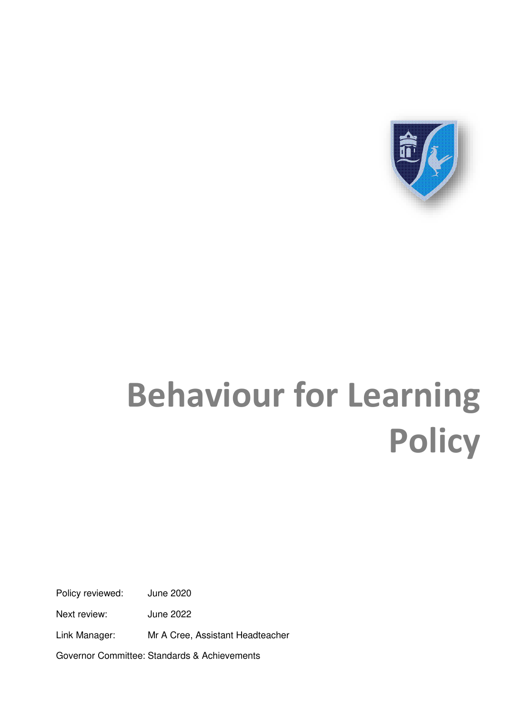

# **Behaviour for Learning Policy**

Policy reviewed: June 2020

Next review: June 2022

Link Manager: Mr A Cree, Assistant Headteacher

Governor Committee: Standards & Achievements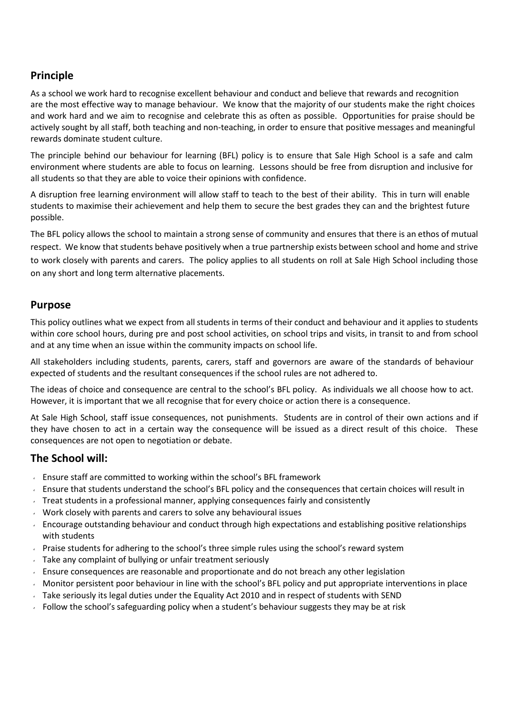# **Principle**

As a school we work hard to recognise excellent behaviour and conduct and believe that rewards and recognition are the most effective way to manage behaviour. We know that the majority of our students make the right choices and work hard and we aim to recognise and celebrate this as often as possible. Opportunities for praise should be actively sought by all staff, both teaching and non-teaching, in order to ensure that positive messages and meaningful rewards dominate student culture.

The principle behind our behaviour for learning (BFL) policy is to ensure that Sale High School is a safe and calm environment where students are able to focus on learning. Lessons should be free from disruption and inclusive for all students so that they are able to voice their opinions with confidence.

A disruption free learning environment will allow staff to teach to the best of their ability. This in turn will enable students to maximise their achievement and help them to secure the best grades they can and the brightest future possible.

The BFL policy allows the school to maintain a strong sense of community and ensures that there is an ethos of mutual respect. We know that students behave positively when a true partnership exists between school and home and strive to work closely with parents and carers. The policy applies to all students on roll at Sale High School including those on any short and long term alternative placements.

#### **Purpose**

This policy outlines what we expect from all students in terms of their conduct and behaviour and it applies to students within core school hours, during pre and post school activities, on school trips and visits, in transit to and from school and at any time when an issue within the community impacts on school life.

All stakeholders including students, parents, carers, staff and governors are aware of the standards of behaviour expected of students and the resultant consequences if the school rules are not adhered to.

The ideas of choice and consequence are central to the school's BFL policy. As individuals we all choose how to act. However, it is important that we all recognise that for every choice or action there is a consequence.

At Sale High School, staff issue consequences, not punishments. Students are in control of their own actions and if they have chosen to act in a certain way the consequence will be issued as a direct result of this choice. These consequences are not open to negotiation or debate.

## **The School will:**

- Ensure staff are committed to working within the school's BFL framework
- Ensure that students understand the school's BFL policy and the consequences that certain choices will result in
- $\sim$  Treat students in a professional manner, applying consequences fairly and consistently
- **Work closely with parents and carers to solve any behavioural issues**
- Encourage outstanding behaviour and conduct through high expectations and establishing positive relationships with students
- **Praise students for adhering to the school's three simple rules using the school's reward system**
- Take any complaint of bullying or unfair treatment seriously
- $\sim$  Ensure consequences are reasonable and proportionate and do not breach any other legislation
- $\sim$  Monitor persistent poor behaviour in line with the school's BFL policy and put appropriate interventions in place
- Take seriously its legal duties under the Equality Act 2010 and in respect of students with SEND
- Follow the school's safeguarding policy when a student's behaviour suggests they may be at risk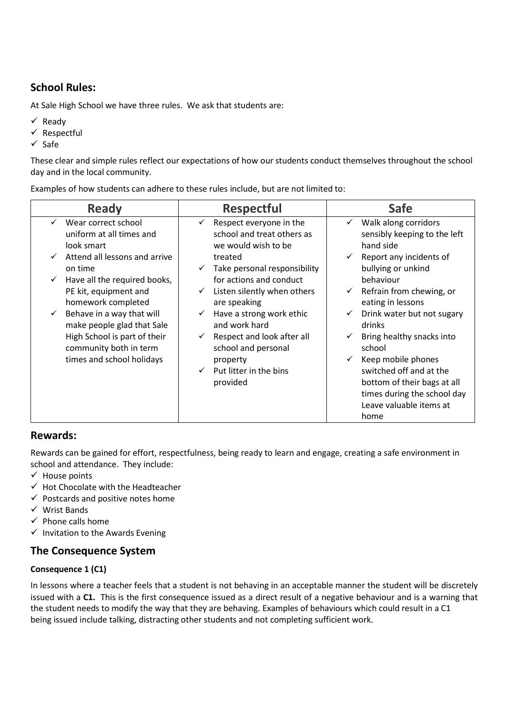# **School Rules:**

At Sale High School we have three rules. We ask that students are:

- $\checkmark$  Ready
- $\checkmark$  Respectful
- $\checkmark$  Safe

These clear and simple rules reflect our expectations of how our students conduct themselves throughout the school day and in the local community.

Examples of how students can adhere to these rules include, but are not limited to:

| <b>Ready</b>                                                                                                                                                                                                                                                                                                                                                               | <b>Respectful</b>                                                                                                                                                                                                                                                                                                                                                                                                     | <b>Safe</b>                                                                                                                                                                                                                                                                                                                                                                                                                                                                                               |
|----------------------------------------------------------------------------------------------------------------------------------------------------------------------------------------------------------------------------------------------------------------------------------------------------------------------------------------------------------------------------|-----------------------------------------------------------------------------------------------------------------------------------------------------------------------------------------------------------------------------------------------------------------------------------------------------------------------------------------------------------------------------------------------------------------------|-----------------------------------------------------------------------------------------------------------------------------------------------------------------------------------------------------------------------------------------------------------------------------------------------------------------------------------------------------------------------------------------------------------------------------------------------------------------------------------------------------------|
| Wear correct school<br>uniform at all times and<br>look smart<br>Attend all lessons and arrive<br>on time<br>Have all the required books,<br>$\checkmark$<br>PE kit, equipment and<br>homework completed<br>Behave in a way that will<br>$\checkmark$<br>make people glad that Sale<br>High School is part of their<br>community both in term<br>times and school holidays | Respect everyone in the<br>school and treat others as<br>we would wish to be<br>treated<br>Take personal responsibility<br>$\checkmark$<br>for actions and conduct<br>Listen silently when others<br>$\checkmark$<br>are speaking<br>Have a strong work ethic<br>$\checkmark$<br>and work hard<br>Respect and look after all<br>$\checkmark$<br>school and personal<br>property<br>Put litter in the bins<br>provided | Walk along corridors<br>$\checkmark$<br>sensibly keeping to the left<br>hand side<br>Report any incidents of<br>$\checkmark$<br>bullying or unkind<br>behaviour<br>Refrain from chewing, or<br>$\checkmark$<br>eating in lessons<br>Drink water but not sugary<br>$\checkmark$<br>drinks<br>Bring healthy snacks into<br>$\checkmark$<br>school<br>Keep mobile phones<br>$\checkmark$<br>switched off and at the<br>bottom of their bags at all<br>times during the school day<br>Leave valuable items at |
|                                                                                                                                                                                                                                                                                                                                                                            |                                                                                                                                                                                                                                                                                                                                                                                                                       | home                                                                                                                                                                                                                                                                                                                                                                                                                                                                                                      |

## **Rewards:**

Rewards can be gained for effort, respectfulness, being ready to learn and engage, creating a safe environment in school and attendance. They include:

- $\checkmark$  House points
- $\checkmark$  Hot Chocolate with the Headteacher
- $\checkmark$  Postcards and positive notes home
- $\checkmark$  Wrist Bands
- $\checkmark$  Phone calls home
- $\checkmark$  Invitation to the Awards Evening

## **The Consequence System**

#### **Consequence 1 (C1)**

In lessons where a teacher feels that a student is not behaving in an acceptable manner the student will be discretely issued with a **C1.** This is the first consequence issued as a direct result of a negative behaviour and is a warning that the student needs to modify the way that they are behaving. Examples of behaviours which could result in a C1 being issued include talking, distracting other students and not completing sufficient work.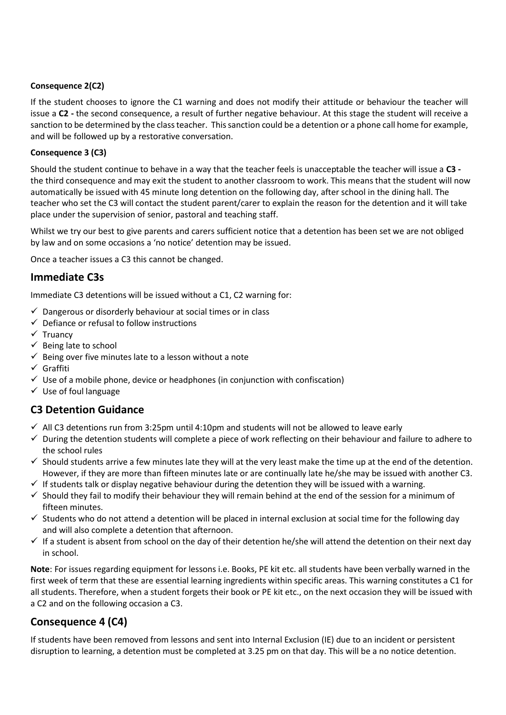#### **Consequence 2(C2)**

If the student chooses to ignore the C1 warning and does not modify their attitude or behaviour the teacher will issue a **C2 -** the second consequence, a result of further negative behaviour. At this stage the student will receive a sanction to be determined by the class teacher. This sanction could be a detention or a phone call home for example, and will be followed up by a restorative conversation.

#### **Consequence 3 (C3)**

Should the student continue to behave in a way that the teacher feels is unacceptable the teacher will issue a **C3**  the third consequence and may exit the student to another classroom to work. This means that the student will now automatically be issued with 45 minute long detention on the following day, after school in the dining hall. The teacher who set the C3 will contact the student parent/carer to explain the reason for the detention and it will take place under the supervision of senior, pastoral and teaching staff.

Whilst we try our best to give parents and carers sufficient notice that a detention has been set we are not obliged by law and on some occasions a 'no notice' detention may be issued.

Once a teacher issues a C3 this cannot be changed.

## **Immediate C3s**

Immediate C3 detentions will be issued without a C1, C2 warning for:

- $\checkmark$  Dangerous or disorderly behaviour at social times or in class
- $\checkmark$  Defiance or refusal to follow instructions
- $\checkmark$  Truancy
- $\checkmark$  Being late to school
- $\checkmark$  Being over five minutes late to a lesson without a note
- $\checkmark$  Graffiti
- $\checkmark$  Use of a mobile phone, device or headphones (in conjunction with confiscation)
- $\checkmark$  Use of foul language

# **C3 Detention Guidance**

- $\checkmark$  All C3 detentions run from 3:25pm until 4:10pm and students will not be allowed to leave early
- $\checkmark$  During the detention students will complete a piece of work reflecting on their behaviour and failure to adhere to the school rules
- $\checkmark$  Should students arrive a few minutes late they will at the very least make the time up at the end of the detention. However, if they are more than fifteen minutes late or are continually late he/she may be issued with another C3.
- $\checkmark$  If students talk or display negative behaviour during the detention they will be issued with a warning.
- $\checkmark$  Should they fail to modify their behaviour they will remain behind at the end of the session for a minimum of fifteen minutes.
- $\checkmark$  Students who do not attend a detention will be placed in internal exclusion at social time for the following day and will also complete a detention that afternoon.
- $\checkmark$  If a student is absent from school on the day of their detention he/she will attend the detention on their next day in school.

**Note**: For issues regarding equipment for lessons i.e. Books, PE kit etc. all students have been verbally warned in the first week of term that these are essential learning ingredients within specific areas. This warning constitutes a C1 for all students. Therefore, when a student forgets their book or PE kit etc., on the next occasion they will be issued with a C2 and on the following occasion a C3.

# **Consequence 4 (C4)**

If students have been removed from lessons and sent into Internal Exclusion (IE) due to an incident or persistent disruption to learning, a detention must be completed at 3.25 pm on that day. This will be a no notice detention.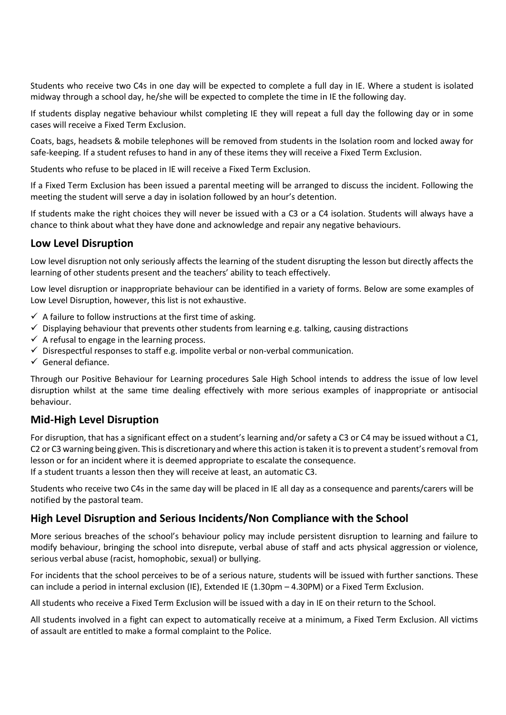Students who receive two C4s in one day will be expected to complete a full day in IE. Where a student is isolated midway through a school day, he/she will be expected to complete the time in IE the following day.

If students display negative behaviour whilst completing IE they will repeat a full day the following day or in some cases will receive a Fixed Term Exclusion.

Coats, bags, headsets & mobile telephones will be removed from students in the Isolation room and locked away for safe-keeping. If a student refuses to hand in any of these items they will receive a Fixed Term Exclusion.

Students who refuse to be placed in IE will receive a Fixed Term Exclusion.

If a Fixed Term Exclusion has been issued a parental meeting will be arranged to discuss the incident. Following the meeting the student will serve a day in isolation followed by an hour's detention.

If students make the right choices they will never be issued with a C3 or a C4 isolation. Students will always have a chance to think about what they have done and acknowledge and repair any negative behaviours.

#### **Low Level Disruption**

Low level disruption not only seriously affects the learning of the student disrupting the lesson but directly affects the learning of other students present and the teachers' ability to teach effectively.

Low level disruption or inappropriate behaviour can be identified in a variety of forms. Below are some examples of Low Level Disruption, however, this list is not exhaustive.

- $\checkmark$  A failure to follow instructions at the first time of asking.
- $\checkmark$  Displaying behaviour that prevents other students from learning e.g. talking, causing distractions
- $\checkmark$  A refusal to engage in the learning process.
- $\checkmark$  Disrespectful responses to staff e.g. impolite verbal or non-verbal communication.
- $\checkmark$  General defiance.

Through our Positive Behaviour for Learning procedures Sale High School intends to address the issue of low level disruption whilst at the same time dealing effectively with more serious examples of inappropriate or antisocial behaviour.

## **Mid-High Level Disruption**

For disruption, that has a significant effect on a student's learning and/or safety a C3 or C4 may be issued without a C1, C2 or C3 warning being given. This is discretionary and where this action is taken it is to prevent a student's removal from lesson or for an incident where it is deemed appropriate to escalate the consequence. If a student truants a lesson then they will receive at least, an automatic C3.

Students who receive two C4s in the same day will be placed in IE all day as a consequence and parents/carers will be notified by the pastoral team.

#### **High Level Disruption and Serious Incidents/Non Compliance with the School**

More serious breaches of the school's behaviour policy may include persistent disruption to learning and failure to modify behaviour, bringing the school into disrepute, verbal abuse of staff and acts physical aggression or violence, serious verbal abuse (racist, homophobic, sexual) or bullying.

For incidents that the school perceives to be of a serious nature, students will be issued with further sanctions. These can include a period in internal exclusion (IE), Extended IE (1.30pm – 4.30PM) or a Fixed Term Exclusion.

All students who receive a Fixed Term Exclusion will be issued with a day in IE on their return to the School.

All students involved in a fight can expect to automatically receive at a minimum, a Fixed Term Exclusion. All victims of assault are entitled to make a formal complaint to the Police.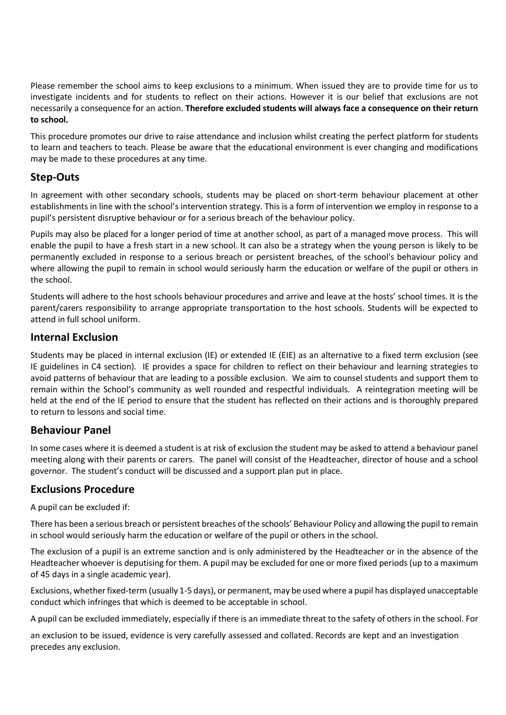Please remember the school aims to keep exclusions to a minimum. When issued they are to provide time for us to investigate incidents and for students to reflect on their actions. However it is our belief that exclusions are not necessarily a consequence for an action. **Therefore excluded students will always face a consequence on their return to school.**

This procedure promotes our drive to raise attendance and inclusion whilst creating the perfect platform for students to learn and teachers to teach. Please be aware that the educational environment is ever changing and modifications may be made to these procedures at any time.

## **Step-Outs**

In agreement with other secondary schools, students may be placed on short-term behaviour placement at other establishments in line with the school's intervention strategy. This is a form of intervention we employ in response to a pupil's persistent disruptive behaviour or for a serious breach of the behaviour policy.

Pupils may also be placed for a longer period of time at another school, as part of a managed move process. This will enable the pupil to have a fresh start in a new school. It can also be a strategy when the young person is likely to be permanently excluded in response to a serious breach or persistent breaches, of the school's behaviour policy and where allowing the pupil to remain in school would seriously harm the education or welfare of the pupil or others in the school.

Students will adhere to the host schools behaviour procedures and arrive and leave at the hosts' school times. It is the parent/carers responsibility to arrange appropriate transportation to the host schools. Students will be expected to attend in full school uniform.

## **Internal Exclusion**

Students may be placed in internal exclusion (IE) or extended IE (EIE) as an alternative to a fixed term exclusion (see IE guidelines in C4 section). IE provides a space for children to reflect on their behaviour and learning strategies to avoid patterns of behaviour that are leading to a possible exclusion. We aim to counsel students and support them to remain within the School's community as well rounded and respectful individuals. A reintegration meeting will be held at the end of the IE period to ensure that the student has reflected on their actions and is thoroughly prepared to return to lessons and social time.

## **Behaviour Panel**

In some cases where it is deemed a student is at risk of exclusion the student may be asked to attend a behaviour panel meeting along with their parents or carers. The panel will consist of the Headteacher, director of house and a school governor. The student's conduct will be discussed and a support plan put in place.

#### **Exclusions Procedure**

A pupil can be excluded if:

There has been a serious breach or persistent breaches of the schools' Behaviour Policy and allowing the pupil to remain in school would seriously harm the education or welfare of the pupil or others in the school.

The exclusion of a pupil is an extreme sanction and is only administered by the Headteacher or in the absence of the Headteacher whoever is deputising for them. A pupil may be excluded for one or more fixed periods (up to a maximum of 45 days in a single academic year).

Exclusions, whether fixed-term (usually 1-5 days), or permanent, may be used where a pupil has displayed unacceptable conduct which infringes that which is deemed to be acceptable in school.

A pupil can be excluded immediately, especially if there is an immediate threat to the safety of others in the school. For

an exclusion to be issued, evidence is very carefully assessed and collated. Records are kept and an investigation precedes any exclusion.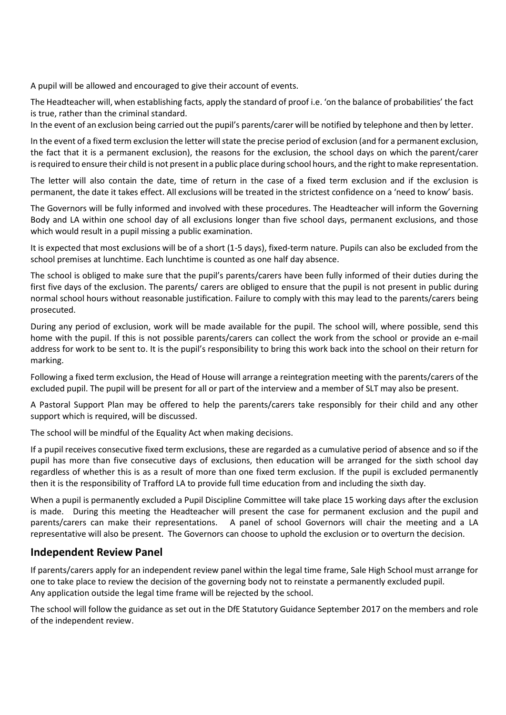A pupil will be allowed and encouraged to give their account of events.

The Headteacher will, when establishing facts, apply the standard of proof i.e. 'on the balance of probabilities' the fact is true, rather than the criminal standard.

In the event of an exclusion being carried out the pupil's parents/carer will be notified by telephone and then by letter.

In the event of a fixed term exclusion the letter will state the precise period of exclusion (and for a permanent exclusion, the fact that it is a permanent exclusion), the reasons for the exclusion, the school days on which the parent/carer is required to ensure their child is not present in a public place during school hours, and the right to make representation.

The letter will also contain the date, time of return in the case of a fixed term exclusion and if the exclusion is permanent, the date it takes effect. All exclusions will be treated in the strictest confidence on a 'need to know' basis.

The Governors will be fully informed and involved with these procedures. The Headteacher will inform the Governing Body and LA within one school day of all exclusions longer than five school days, permanent exclusions, and those which would result in a pupil missing a public examination.

It is expected that most exclusions will be of a short (1-5 days), fixed-term nature. Pupils can also be excluded from the school premises at lunchtime. Each lunchtime is counted as one half day absence.

The school is obliged to make sure that the pupil's parents/carers have been fully informed of their duties during the first five days of the exclusion. The parents/ carers are obliged to ensure that the pupil is not present in public during normal school hours without reasonable justification. Failure to comply with this may lead to the parents/carers being prosecuted.

During any period of exclusion, work will be made available for the pupil. The school will, where possible, send this home with the pupil. If this is not possible parents/carers can collect the work from the school or provide an e-mail address for work to be sent to. It is the pupil's responsibility to bring this work back into the school on their return for marking.

Following a fixed term exclusion, the Head of House will arrange a reintegration meeting with the parents/carers of the excluded pupil. The pupil will be present for all or part of the interview and a member of SLT may also be present.

A Pastoral Support Plan may be offered to help the parents/carers take responsibly for their child and any other support which is required, will be discussed.

The school will be mindful of the Equality Act when making decisions.

If a pupil receives consecutive fixed term exclusions, these are regarded as a cumulative period of absence and so if the pupil has more than five consecutive days of exclusions, then education will be arranged for the sixth school day regardless of whether this is as a result of more than one fixed term exclusion. If the pupil is excluded permanently then it is the responsibility of Trafford LA to provide full time education from and including the sixth day.

When a pupil is permanently excluded a Pupil Discipline Committee will take place 15 working days after the exclusion is made. During this meeting the Headteacher will present the case for permanent exclusion and the pupil and parents/carers can make their representations. A panel of school Governors will chair the meeting and a LA representative will also be present. The Governors can choose to uphold the exclusion or to overturn the decision.

## **Independent Review Panel**

If parents/carers apply for an independent review panel within the legal time frame, Sale High School must arrange for one to take place to review the decision of the governing body not to reinstate a permanently excluded pupil. Any application outside the legal time frame will be rejected by the school.

The school will follow the guidance as set out in the DfE Statutory Guidance September 2017 on the members and role of the independent review.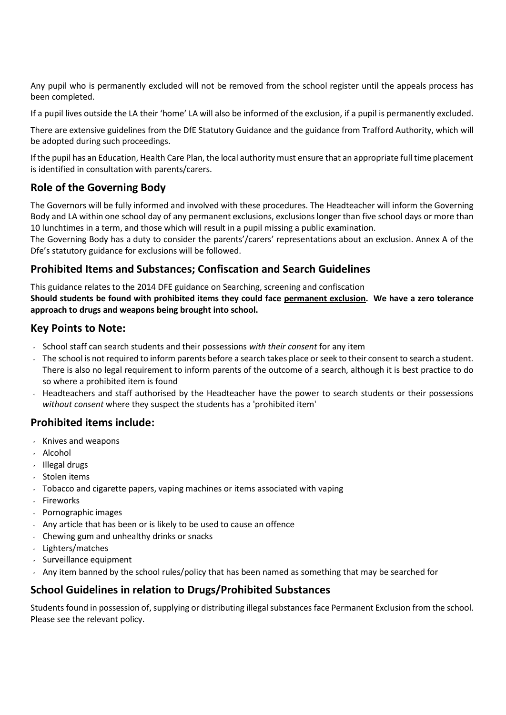Any pupil who is permanently excluded will not be removed from the school register until the appeals process has been completed.

If a pupil lives outside the LA their 'home' LA will also be informed of the exclusion, if a pupil is permanently excluded.

There are extensive guidelines from the DfE Statutory Guidance and the guidance from Trafford Authority, which will be adopted during such proceedings.

If the pupil has an Education, Health Care Plan, the local authority must ensure that an appropriate full time placement is identified in consultation with parents/carers.

## **Role of the Governing Body**

The Governors will be fully informed and involved with these procedures. The Headteacher will inform the Governing Body and LA within one school day of any permanent exclusions, exclusions longer than five school days or more than 10 lunchtimes in a term, and those which will result in a pupil missing a public examination.

The Governing Body has a duty to consider the parents'/carers' representations about an exclusion. Annex A of the Dfe's statutory guidance for exclusions will be followed.

## **Prohibited Items and Substances; Confiscation and Search Guidelines**

This guidance relates to the 2014 DFE guidance on Searching, screening and confiscation **Should students be found with prohibited items they could face permanent exclusion. We have a zero tolerance approach to drugs and weapons being brought into school.**

## **Key Points to Note:**

- School staff can search students and their possessions *with their consent* for any item
- The school is not required to inform parents before a search takes place or seek to their consent to search a student. There is also no legal requirement to inform parents of the outcome of a search, although it is best practice to do so where a prohibited item is found
- Headteachers and staff authorised by the Headteacher have the power to search students or their possessions *without consent* where they suspect the students has a 'prohibited item'

## **Prohibited items include:**

- Knives and weapons
- Alcohol
- Illegal drugs
- Stolen items
- Tobacco and cigarette papers, vaping machines or items associated with vaping
- Fireworks
- Pornographic images
- $\sim$  Any article that has been or is likely to be used to cause an offence
- $\sim$  Chewing gum and unhealthy drinks or snacks
- Lighters/matches
- Surveillance equipment
- Any item banned by the school rules/policy that has been named as something that may be searched for

## **School Guidelines in relation to Drugs/Prohibited Substances**

Students found in possession of, supplying or distributing illegal substances face Permanent Exclusion from the school. Please see the relevant policy.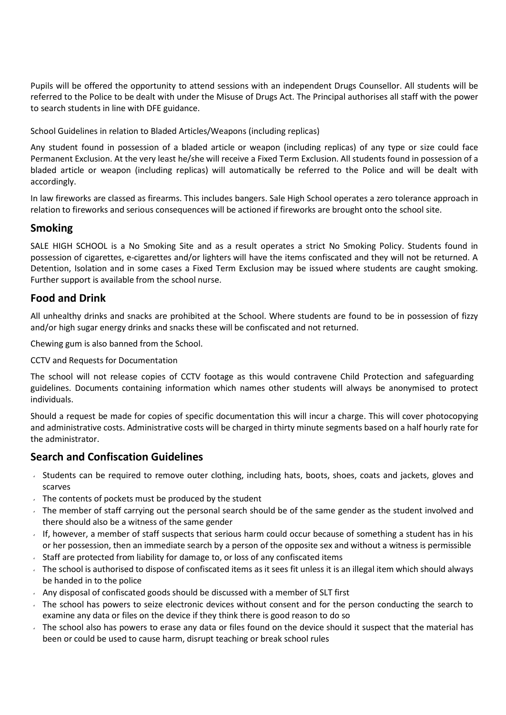Pupils will be offered the opportunity to attend sessions with an independent Drugs Counsellor. All students will be referred to the Police to be dealt with under the Misuse of Drugs Act. The Principal authorises all staff with the power to search students in line with DFE guidance.

School Guidelines in relation to Bladed Articles/Weapons (including replicas)

Any student found in possession of a bladed article or weapon (including replicas) of any type or size could face Permanent Exclusion. At the very least he/she will receive a Fixed Term Exclusion. All students found in possession of a bladed article or weapon (including replicas) will automatically be referred to the Police and will be dealt with accordingly.

In law fireworks are classed as firearms. This includes bangers. Sale High School operates a zero tolerance approach in relation to fireworks and serious consequences will be actioned if fireworks are brought onto the school site.

#### **Smoking**

SALE HIGH SCHOOL is a No Smoking Site and as a result operates a strict No Smoking Policy. Students found in possession of cigarettes, e-cigarettes and/or lighters will have the items confiscated and they will not be returned. A Detention, Isolation and in some cases a Fixed Term Exclusion may be issued where students are caught smoking. Further support is available from the school nurse.

#### **Food and Drink**

All unhealthy drinks and snacks are prohibited at the School. Where students are found to be in possession of fizzy and/or high sugar energy drinks and snacks these will be confiscated and not returned.

Chewing gum is also banned from the School.

CCTV and Requests for Documentation

The school will not release copies of CCTV footage as this would contravene Child Protection and safeguarding guidelines. Documents containing information which names other students will always be anonymised to protect individuals.

Should a request be made for copies of specific documentation this will incur a charge. This will cover photocopying and administrative costs. Administrative costs will be charged in thirty minute segments based on a half hourly rate for the administrator.

#### **Search and Confiscation Guidelines**

- Students can be required to remove outer clothing, including hats, boots, shoes, coats and jackets, gloves and scarves
- $\sqrt{ }$  The contents of pockets must be produced by the student
- The member of staff carrying out the personal search should be of the same gender as the student involved and there should also be a witness of the same gender
- If, however, a member of staff suspects that serious harm could occur because of something a student has in his or her possession, then an immediate search by a person of the opposite sex and without a witness is permissible
- Staff are protected from liability for damage to, or loss of any confiscated items
- The school is authorised to dispose of confiscated items as it sees fit unless it is an illegal item which should always be handed in to the police
- $\sim$  Any disposal of confiscated goods should be discussed with a member of SLT first
- The school has powers to seize electronic devices without consent and for the person conducting the search to examine any data or files on the device if they think there is good reason to do so
- The school also has powers to erase any data or files found on the device should it suspect that the material has been or could be used to cause harm, disrupt teaching or break school rules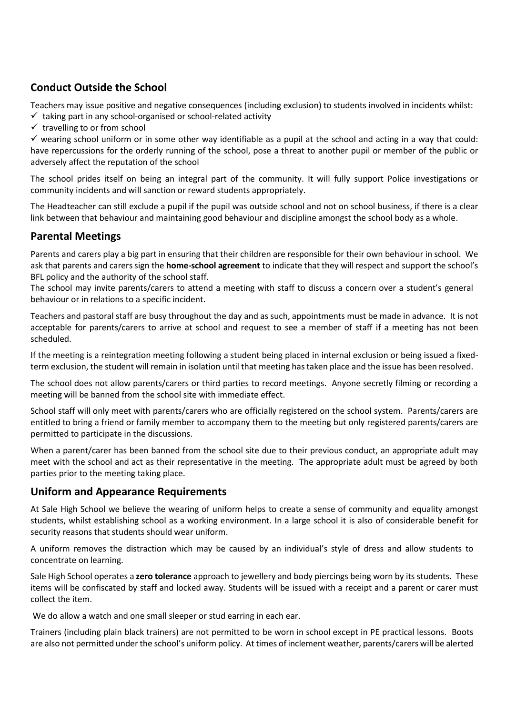# **Conduct Outside the School**

Teachers may issue positive and negative consequences (including exclusion) to students involved in incidents whilst:

- $\checkmark$  taking part in any school-organised or school-related activity
- $\checkmark$  travelling to or from school

 $\checkmark$  wearing school uniform or in some other way identifiable as a pupil at the school and acting in a way that could: have repercussions for the orderly running of the school, pose a threat to another pupil or member of the public or adversely affect the reputation of the school

The school prides itself on being an integral part of the community. It will fully support Police investigations or community incidents and will sanction or reward students appropriately.

The Headteacher can still exclude a pupil if the pupil was outside school and not on school business, if there is a clear link between that behaviour and maintaining good behaviour and discipline amongst the school body as a whole.

## **Parental Meetings**

Parents and carers play a big part in ensuring that their children are responsible for their own behaviour in school. We ask that parents and carers sign the **home-school agreement** to indicate that they will respect and support the school's BFL policy and the authority of the school staff.

The school may invite parents/carers to attend a meeting with staff to discuss a concern over a student's general behaviour or in relations to a specific incident.

Teachers and pastoral staff are busy throughout the day and as such, appointments must be made in advance. It is not acceptable for parents/carers to arrive at school and request to see a member of staff if a meeting has not been scheduled.

If the meeting is a reintegration meeting following a student being placed in internal exclusion or being issued a fixedterm exclusion, the student will remain in isolation until that meeting hastaken place and the issue has been resolved.

The school does not allow parents/carers or third parties to record meetings. Anyone secretly filming or recording a meeting will be banned from the school site with immediate effect.

School staff will only meet with parents/carers who are officially registered on the school system. Parents/carers are entitled to bring a friend or family member to accompany them to the meeting but only registered parents/carers are permitted to participate in the discussions.

When a parent/carer has been banned from the school site due to their previous conduct, an appropriate adult may meet with the school and act as their representative in the meeting. The appropriate adult must be agreed by both parties prior to the meeting taking place.

## **Uniform and Appearance Requirements**

At Sale High School we believe the wearing of uniform helps to create a sense of community and equality amongst students, whilst establishing school as a working environment. In a large school it is also of considerable benefit for security reasons that students should wear uniform.

A uniform removes the distraction which may be caused by an individual's style of dress and allow students to concentrate on learning.

Sale High School operates a **zero tolerance** approach to jewellery and body piercings being worn by its students. These items will be confiscated by staff and locked away. Students will be issued with a receipt and a parent or carer must collect the item.

We do allow a watch and one small sleeper or stud earring in each ear.

Trainers (including plain black trainers) are not permitted to be worn in school except in PE practical lessons. Boots are also not permitted under the school's uniform policy. At times of inclement weather, parents/carers will be alerted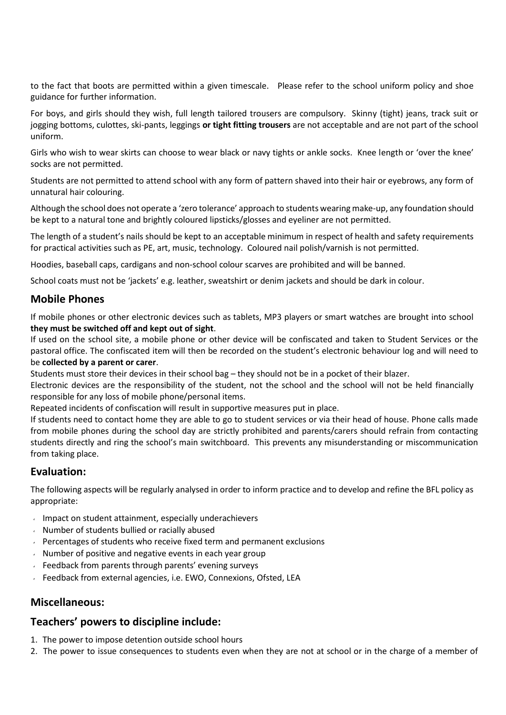to the fact that boots are permitted within a given timescale. Please refer to the school uniform policy and shoe guidance for further information.

For boys, and girls should they wish, full length tailored trousers are compulsory. Skinny (tight) jeans, track suit or jogging bottoms, culottes, ski-pants, leggings **or tight fitting trousers** are not acceptable and are not part of the school uniform.

Girls who wish to wear skirts can choose to wear black or navy tights or ankle socks. Knee length or 'over the knee' socks are not permitted.

Students are not permitted to attend school with any form of pattern shaved into their hair or eyebrows, any form of unnatural hair colouring.

Although the school does not operate a 'zero tolerance' approach to students wearing make-up, any foundation should be kept to a natural tone and brightly coloured lipsticks/glosses and eyeliner are not permitted.

The length of a student's nails should be kept to an acceptable minimum in respect of health and safety requirements for practical activities such as PE, art, music, technology. Coloured nail polish/varnish is not permitted.

Hoodies, baseball caps, cardigans and non-school colour scarves are prohibited and will be banned.

School coats must not be 'jackets' e.g. leather, sweatshirt or denim jackets and should be dark in colour.

#### **Mobile Phones**

If mobile phones or other electronic devices such as tablets, MP3 players or smart watches are brought into school **they must be switched off and kept out of sight**.

If used on the school site, a mobile phone or other device will be confiscated and taken to Student Services or the pastoral office. The confiscated item will then be recorded on the student's electronic behaviour log and will need to be **collected by a parent or carer**.

Students must store their devices in their school bag – they should not be in a pocket of their blazer.

Electronic devices are the responsibility of the student, not the school and the school will not be held financially responsible for any loss of mobile phone/personal items.

Repeated incidents of confiscation will result in supportive measures put in place.

If students need to contact home they are able to go to student services or via their head of house. Phone calls made from mobile phones during the school day are strictly prohibited and parents/carers should refrain from contacting students directly and ring the school's main switchboard. This prevents any misunderstanding or miscommunication from taking place.

## **Evaluation:**

The following aspects will be regularly analysed in order to inform practice and to develop and refine the BFL policy as appropriate:

- Impact on student attainment, especially underachievers
- Number of students bullied or racially abused
- $\sim$  Percentages of students who receive fixed term and permanent exclusions
- $\sqrt{ }$  Number of positive and negative events in each year group
- Feedback from parents through parents' evening surveys
- Feedback from external agencies, i.e. EWO, Connexions, Ofsted, LEA

#### **Miscellaneous:**

#### **Teachers' powers to discipline include:**

- 1. The power to impose detention outside school hours
- 2. The power to issue consequences to students even when they are not at school or in the charge of a member of